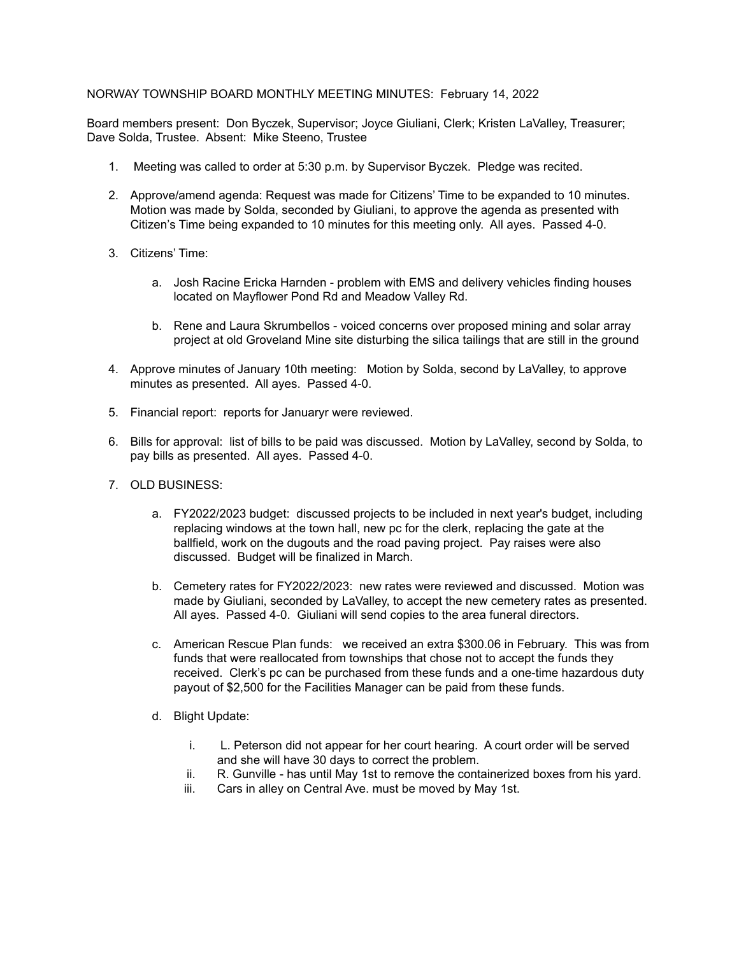## NORWAY TOWNSHIP BOARD MONTHLY MEETING MINUTES: February 14, 2022

Board members present: Don Byczek, Supervisor; Joyce Giuliani, Clerk; Kristen LaValley, Treasurer; Dave Solda, Trustee. Absent: Mike Steeno, Trustee

- 1. Meeting was called to order at 5:30 p.m. by Supervisor Byczek. Pledge was recited.
- 2. Approve/amend agenda: Request was made for Citizens' Time to be expanded to 10 minutes. Motion was made by Solda, seconded by Giuliani, to approve the agenda as presented with Citizen's Time being expanded to 10 minutes for this meeting only. All ayes. Passed 4-0.
- 3. Citizens' Time:
	- a. Josh Racine Ericka Harnden problem with EMS and delivery vehicles finding houses located on Mayflower Pond Rd and Meadow Valley Rd.
	- b. Rene and Laura Skrumbellos voiced concerns over proposed mining and solar array project at old Groveland Mine site disturbing the silica tailings that are still in the ground
- 4. Approve minutes of January 10th meeting: Motion by Solda, second by LaValley, to approve minutes as presented. All ayes. Passed 4-0.
- 5. Financial report: reports for Januaryr were reviewed.
- 6. Bills for approval: list of bills to be paid was discussed. Motion by LaValley, second by Solda, to pay bills as presented. All ayes. Passed 4-0.
- 7. OLD BUSINESS:
	- a. FY2022/2023 budget: discussed projects to be included in next year's budget, including replacing windows at the town hall, new pc for the clerk, replacing the gate at the ballfield, work on the dugouts and the road paving project. Pay raises were also discussed. Budget will be finalized in March.
	- b. Cemetery rates for FY2022/2023: new rates were reviewed and discussed. Motion was made by Giuliani, seconded by LaValley, to accept the new cemetery rates as presented. All ayes. Passed 4-0. Giuliani will send copies to the area funeral directors.
	- c. American Rescue Plan funds: we received an extra \$300.06 in February. This was from funds that were reallocated from townships that chose not to accept the funds they received. Clerk's pc can be purchased from these funds and a one-time hazardous duty payout of \$2,500 for the Facilities Manager can be paid from these funds.
	- d. Blight Update:
		- i. L. Peterson did not appear for her court hearing. A court order will be served and she will have 30 days to correct the problem.
		- ii. R. Gunville has until May 1st to remove the containerized boxes from his yard.
		- iii. Cars in alley on Central Ave. must be moved by May 1st.